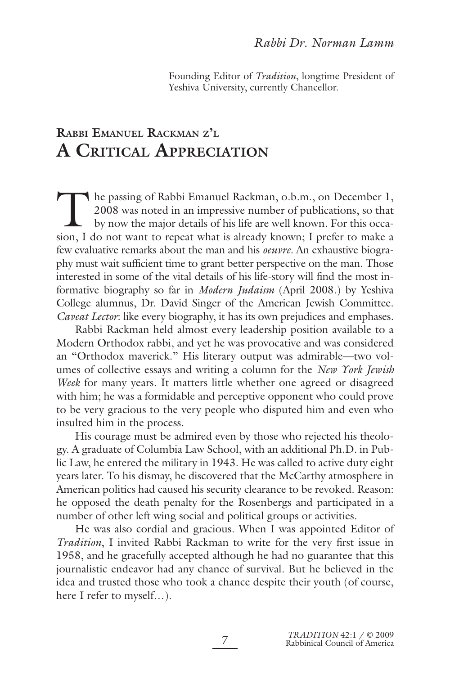Founding Editor of *Tradition*, longtime President of Yeshiva University, currently Chancellor.

## **RABBI EMANUEL RACKMAN Z'L A CRITICAL APPRECIATION**

The passing of Rabbi Emanuel Rackman, o.b.m., on December 1, 2008 was noted in an impressive number of publications, so that by now the major details of his life are well known. For this occasion I do not want to repeat wh 2008 was noted in an impressive number of publications, so that by now the major details of his life are well known. For this occasion, I do not want to repeat what is already known; I prefer to make a few evaluative remarks about the man and his *oeuvre.* An exhaustive biography must wait sufficient time to grant better perspective on the man. Those interested in some of the vital details of his life-story will find the most informative biography so far in *Modern Judaism* (April 2008.) by Yeshiva College alumnus, Dr. David Singer of the American Jewish Committee. *Caveat Lector*: like every biography, it has its own prejudices and emphases.

Rabbi Rackman held almost every leadership position available to a Modern Orthodox rabbi, and yet he was provocative and was considered an "Orthodox maverick." His literary output was admirable—two volumes of collective essays and writing a column for the *New York Jewish Week* for many years. It matters little whether one agreed or disagreed with him; he was a formidable and perceptive opponent who could prove to be very gracious to the very people who disputed him and even who insulted him in the process.

His courage must be admired even by those who rejected his theology. A graduate of Columbia Law School, with an additional Ph.D. in Public Law, he entered the military in 1943. He was called to active duty eight years later. To his dismay, he discovered that the McCarthy atmosphere in American politics had caused his security clearance to be revoked. Reason: he opposed the death penalty for the Rosenbergs and participated in a number of other left wing social and political groups or activities.

He was also cordial and gracious. When I was appointed Editor of *Tradition*, I invited Rabbi Rackman to write for the very first issue in 1958, and he gracefully accepted although he had no guarantee that this journalistic endeavor had any chance of survival. But he believed in the idea and trusted those who took a chance despite their youth (of course, here I refer to myself…).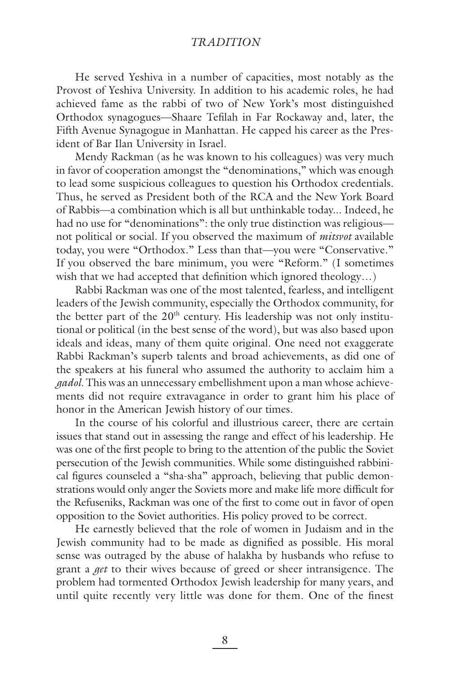## *TRADITION*

He served Yeshiva in a number of capacities, most notably as the Provost of Yeshiva University. In addition to his academic roles, he had achieved fame as the rabbi of two of New York's most distinguished Orthodox synagogues—Shaare Tefilah in Far Rockaway and, later, the Fifth Avenue Synagogue in Manhattan. He capped his career as the President of Bar Ilan University in Israel.

Mendy Rackman (as he was known to his colleagues) was very much in favor of cooperation amongst the "denominations," which was enough to lead some suspicious colleagues to question his Orthodox credentials. Thus, he served as President both of the RCA and the New York Board of Rabbis—a combination which is all but unthinkable today... Indeed, he had no use for "denominations": the only true distinction was religious not political or social. If you observed the maximum of *mitsvot* available today, you were "Orthodox." Less than that—you were "Conservative." If you observed the bare minimum, you were "Reform." (I sometimes wish that we had accepted that definition which ignored theology...)

Rabbi Rackman was one of the most talented, fearless, and intelligent leaders of the Jewish community, especially the Orthodox community, for the better part of the  $20<sup>th</sup>$  century. His leadership was not only institutional or political (in the best sense of the word), but was also based upon ideals and ideas, many of them quite original. One need not exaggerate Rabbi Rackman's superb talents and broad achievements, as did one of the speakers at his funeral who assumed the authority to acclaim him a *gadol.* This was an unnecessary embellishment upon a man whose achievements did not require extravagance in order to grant him his place of honor in the American Jewish history of our times.

In the course of his colorful and illustrious career, there are certain issues that stand out in assessing the range and effect of his leadership. He was one of the first people to bring to the attention of the public the Soviet persecution of the Jewish communities. While some distinguished rabbinical figures counseled a "sha-sha" approach, believing that public demonstrations would only anger the Soviets more and make life more difficult for the Refuseniks, Rackman was one of the first to come out in favor of open opposition to the Soviet authorities. His policy proved to be correct.

He earnestly believed that the role of women in Judaism and in the Jewish community had to be made as dignified as possible. His moral sense was outraged by the abuse of halakha by husbands who refuse to grant a *get* to their wives because of greed or sheer intransigence. The problem had tormented Orthodox Jewish leadership for many years, and until quite recently very little was done for them. One of the finest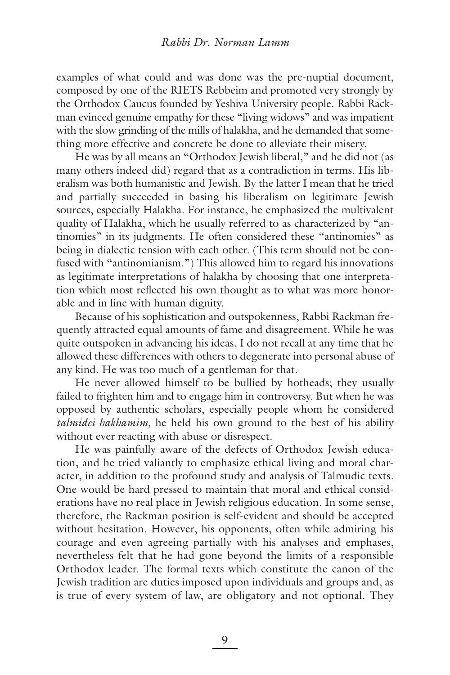examples of what could and was done was the pre-nuptial document, composed by one of the RIETS Rebbeim and promoted very strongly by the Orthodox Caucus founded by Yeshiva University people. Rabbi Rackman evinced genuine empathy for these "living widows" and was impatient with the slow grinding of the mills of halakha, and he demanded that something more effective and concrete be done to alleviate their misery.

He was by all means an "Orthodox Jewish liberal," and he did not (as many others indeed did) regard that as a contradiction in terms. His liberalism was both humanistic and Jewish. By the latter I mean that he tried and partially succeeded in basing his liberalism on legitimate Jewish sources, especially Halakha. For instance, he emphasized the multivalent quality of Halakha, which he usually referred to as characterized by "antinomies" in its judgments. He often considered these "antinomies" as being in dialectic tension with each other. (This term should not be confused with "antinomianism.") This allowed him to regard his innovations as legitimate interpretations of halakha by choosing that one interpretation which most reflected his own thought as to what was more honorable and in line with human dignity.

Because of his sophistication and outspokenness, Rabbi Rackman frequently attracted equal amounts of fame and disagreement. While he was quite outspoken in advancing his ideas, I do not recall at any time that he allowed these differences with others to degenerate into personal abuse of any kind. He was too much of a gentleman for that.

He never allowed himself to be bullied by hotheads; they usually failed to frighten him and to engage him in controversy. But when he was opposed by authentic scholars, especially people whom he considered *talmidei hakhamim,* he held his own ground to the best of his ability without ever reacting with abuse or disrespect.

He was painfully aware of the defects of Orthodox Jewish education, and he tried valiantly to emphasize ethical living and moral character, in addition to the profound study and analysis of Talmudic texts. One would be hard pressed to maintain that moral and ethical considerations have no real place in Jewish religious education. In some sense, therefore, the Rackman position is self-evident and should be accepted without hesitation. However, his opponents, often while admiring his courage and even agreeing partially with his analyses and emphases, nevertheless felt that he had gone beyond the limits of a responsible Orthodox leader. The formal texts which constitute the canon of the Jewish tradition are duties imposed upon individuals and groups and, as is true of every system of law, are obligatory and not optional. They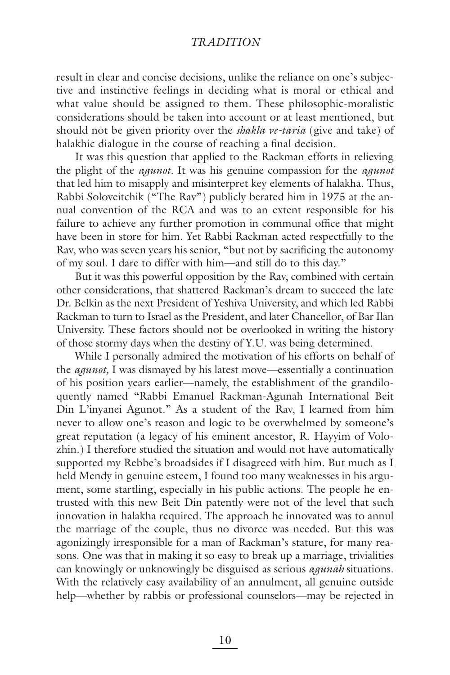## *TRADITION*

result in clear and concise decisions, unlike the reliance on one's subjective and instinctive feelings in deciding what is moral or ethical and what value should be assigned to them. These philosophic-moralistic considerations should be taken into account or at least mentioned, but should not be given priority over the *shakla ve-taria* (give and take) of halakhic dialogue in the course of reaching a final decision.

It was this question that applied to the Rackman efforts in relieving the plight of the *agunot.* It was his genuine compassion for the *agunot* that led him to misapply and misinterpret key elements of halakha. Thus, Rabbi Soloveitchik ("The Rav") publicly berated him in 1975 at the annual convention of the RCA and was to an extent responsible for his failure to achieve any further promotion in communal office that might have been in store for him. Yet Rabbi Rackman acted respectfully to the Rav, who was seven years his senior, "but not by sacrificing the autonomy of my soul. I dare to differ with him—and still do to this day."

But it was this powerful opposition by the Rav, combined with certain other considerations, that shattered Rackman's dream to succeed the late Dr. Belkin as the next President of Yeshiva University, and which led Rabbi Rackman to turn to Israel as the President, and later Chancellor, of Bar Ilan University. These factors should not be overlooked in writing the history of those stormy days when the destiny of Y.U. was being determined.

While I personally admired the motivation of his efforts on behalf of the *agunot,* I was dismayed by his latest move—essentially a continuation of his position years earlier—namely, the establishment of the grandiloquently named "Rabbi Emanuel Rackman-Agunah International Beit Din L'inyanei Agunot." As a student of the Rav, I learned from him never to allow one's reason and logic to be overwhelmed by someone's great reputation (a legacy of his eminent ancestor, R. Hayyim of Volozhin.) I therefore studied the situation and would not have automatically supported my Rebbe's broadsides if I disagreed with him. But much as I held Mendy in genuine esteem, I found too many weaknesses in his argument, some startling, especially in his public actions. The people he entrusted with this new Beit Din patently were not of the level that such innovation in halakha required. The approach he innovated was to annul the marriage of the couple, thus no divorce was needed. But this was agonizingly irresponsible for a man of Rackman's stature, for many reasons. One was that in making it so easy to break up a marriage, trivialities can knowingly or unknowingly be disguised as serious *agunah* situations. With the relatively easy availability of an annulment, all genuine outside help—whether by rabbis or professional counselors—may be rejected in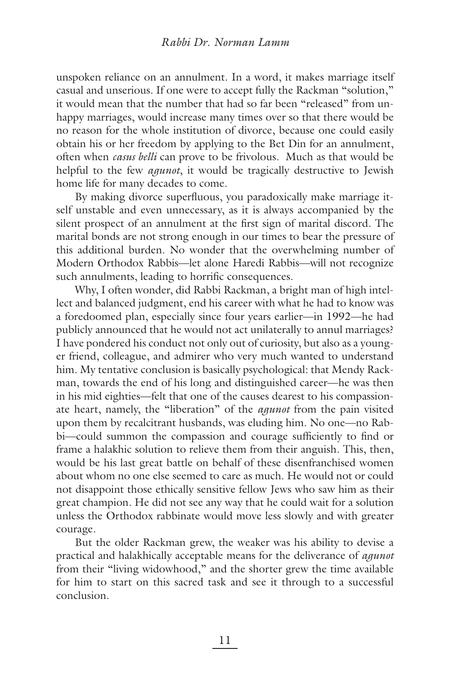unspoken reliance on an annulment. In a word, it makes marriage itself casual and unserious. If one were to accept fully the Rackman "solution," it would mean that the number that had so far been "released" from unhappy marriages, would increase many times over so that there would be no reason for the whole institution of divorce, because one could easily obtain his or her freedom by applying to the Bet Din for an annulment, often when *casus belli* can prove to be frivolous. Much as that would be helpful to the few *agunot*, it would be tragically destructive to Jewish home life for many decades to come.

By making divorce superfluous, you paradoxically make marriage itself unstable and even unnecessary, as it is always accompanied by the silent prospect of an annulment at the first sign of marital discord. The marital bonds are not strong enough in our times to bear the pressure of this additional burden. No wonder that the overwhelming number of Modern Orthodox Rabbis—let alone Haredi Rabbis—will not recognize such annulments, leading to horrific consequences.

Why, I often wonder, did Rabbi Rackman, a bright man of high intellect and balanced judgment, end his career with what he had to know was a foredoomed plan, especially since four years earlier—in 1992—he had publicly announced that he would not act unilaterally to annul marriages? I have pondered his conduct not only out of curiosity, but also as a younger friend, colleague, and admirer who very much wanted to understand him. My tentative conclusion is basically psychological: that Mendy Rackman, towards the end of his long and distinguished career—he was then in his mid eighties—felt that one of the causes dearest to his compassionate heart, namely, the "liberation" of the *agunot* from the pain visited upon them by recalcitrant husbands, was eluding him. No one—no Rabbi-could summon the compassion and courage sufficiently to find or frame a halakhic solution to relieve them from their anguish. This, then, would be his last great battle on behalf of these disenfranchised women about whom no one else seemed to care as much. He would not or could not disappoint those ethically sensitive fellow Jews who saw him as their great champion. He did not see any way that he could wait for a solution unless the Orthodox rabbinate would move less slowly and with greater courage.

But the older Rackman grew, the weaker was his ability to devise a practical and halakhically acceptable means for the deliverance of *agunot* from their "living widowhood," and the shorter grew the time available for him to start on this sacred task and see it through to a successful conclusion.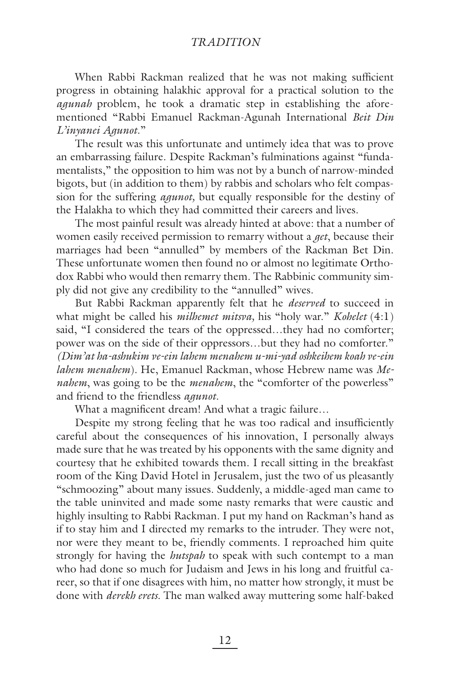## *TRADITION*

When Rabbi Rackman realized that he was not making sufficient progress in obtaining halakhic approval for a practical solution to the *agunah* problem, he took a dramatic step in establishing the aforementioned "Rabbi Emanuel Rackman-Agunah International *Beit Din L'inyanei Agunot*."

The result was this unfortunate and untimely idea that was to prove an embarrassing failure. Despite Rackman's fulminations against "fundamentalists," the opposition to him was not by a bunch of narrow-minded bigots, but (in addition to them) by rabbis and scholars who felt compassion for the suffering *agunot,* but equally responsible for the destiny of the Halakha to which they had committed their careers and lives.

The most painful result was already hinted at above: that a number of women easily received permission to remarry without a *get*, because their marriages had been "annulled" by members of the Rackman Bet Din. These unfortunate women then found no or almost no legitimate Orthodox Rabbi who would then remarry them. The Rabbinic community simply did not give any credibility to the "annulled" wives.

But Rabbi Rackman apparently felt that he *deserved* to succeed in what might be called his *milhemet mitsva,* his "holy war." *Kohelet* (4:1) said, "I considered the tears of the oppressed…they had no comforter; power was on the side of their oppressors…but they had no comforter." *(Dim'at ha-ashukim ve-ein lahem menahem u-mi-yad oshkeihem koah ve-ein lahem menahem*). He, Emanuel Rackman, whose Hebrew name was *Menahem*, was going to be the *menahem*, the "comforter of the powerless" and friend to the friendless *agunot*.

What a magnificent dream! And what a tragic failure...

Despite my strong feeling that he was too radical and insufficiently careful about the consequences of his innovation, I personally always made sure that he was treated by his opponents with the same dignity and courtesy that he exhibited towards them. I recall sitting in the breakfast room of the King David Hotel in Jerusalem, just the two of us pleasantly "schmoozing" about many issues. Suddenly, a middle-aged man came to the table uninvited and made some nasty remarks that were caustic and highly insulting to Rabbi Rackman. I put my hand on Rackman's hand as if to stay him and I directed my remarks to the intruder. They were not, nor were they meant to be, friendly comments. I reproached him quite strongly for having the *hutspah* to speak with such contempt to a man who had done so much for Judaism and Jews in his long and fruitful career, so that if one disagrees with him, no matter how strongly, it must be done with *derekh erets*. The man walked away muttering some half-baked